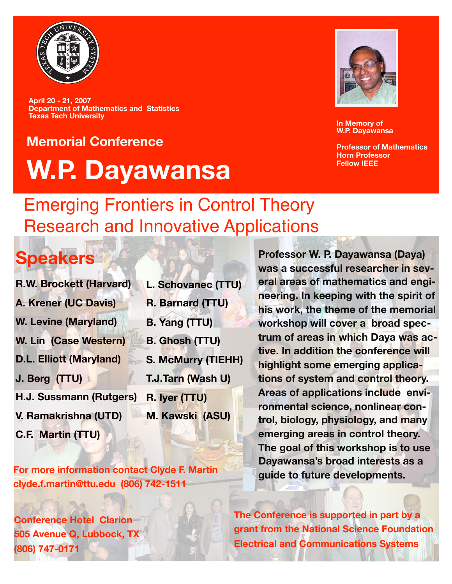

**April 20 - 21, 2007 Department of Mathematics and Statistics Texas Tech University**

# **Memorial Conference W.P. Dayawansa**



**In Memory of W.P. Dayawansa** 

**Professor of Mathematics Horn Professor Fellow IEEE**

### Emerging Frontiers in Control Theory Research and Innovative Applications

## **Speakers**

- **R.W. Brockett (Harvard)**
- **A. Krener (UC Davis)**
- **W. Levine (Maryland)**
- **W. Lin (Case Western)**
- **D.L. Elliott (Maryland)**
- **J. Berg (TTU)**
- **H.J. Sussmann (Rutgers)**
- **V. Ramakrishna (UTD)**
- **C.F. Martin (TTU)**

**For more information contact Clyde F. Martin clyde.f.martin@ttu.edu (806) 742-1511**

**Conference Hotel Clarion 505 Avenue Q, Lubbock, TX (806) 747-0171**

- **L. Schovanec (TTU) R. Barnard (TTU) B. Yang (TTU) B. Ghosh (TTU)**
- **S. McMurry (TIEHH)**
- **T.J.Tarn (Wash U)**
- **R. Iyer (TTU)**
	- **M. Kawski (ASU)**

**Professor W. P. Dayawansa (Daya) was a successful researcher in several areas of mathematics and engineering. In keeping with the spirit of his work, the theme of the memorial workshop will cover a broad spectrum of areas in which Daya was active. In addition the conference will highlight some emerging applications of system and control theory. Areas of applications include environmental science, nonlinear control, biology, physiology, and many emerging areas in control theory. The goal of this workshop is to use Dayawansa's broad interests as a guide to future developments.**

**The Conference is supported in part by a grant from the National Science Foundation Electrical and Communications Systems**